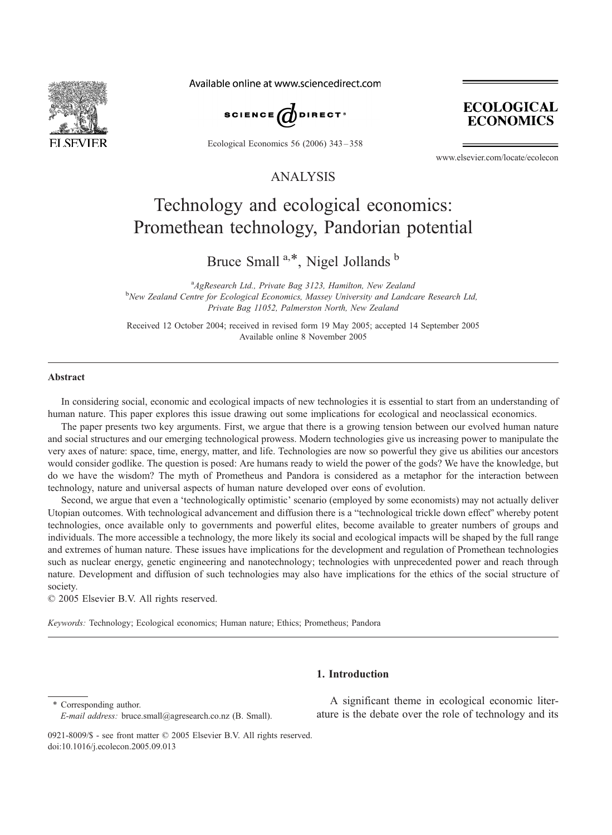

Available online at www.sciencedirect.com



Ecological Economics 56 (2006) 343 – 358



www.elsevier.com/locate/ecolecon

### ANALYSIS

## Technology and ecological economics: Promethean technology, Pandorian potential

Bruce Small<sup>a,\*</sup>, Nigel Jollands<sup>b</sup>

<sup>a</sup> AgResearch Ltd., Private Bag 3123, Hamilton, New Zealand<br><sup>b</sup>New Zealand Contro for Ecological Economies, Massay University and Lande <sup>b</sup>New Zealand Centre for Ecological Economics, Massey University and Landcare Research Ltd, Private Bag 11052, Palmerston North, New Zealand

Received 12 October 2004; received in revised form 19 May 2005; accepted 14 September 2005 Available online 8 November 2005

#### Abstract

In considering social, economic and ecological impacts of new technologies it is essential to start from an understanding of human nature. This paper explores this issue drawing out some implications for ecological and neoclassical economics.

The paper presents two key arguments. First, we argue that there is a growing tension between our evolved human nature and social structures and our emerging technological prowess. Modern technologies give us increasing power to manipulate the very axes of nature: space, time, energy, matter, and life. Technologies are now so powerful they give us abilities our ancestors would consider godlike. The question is posed: Are humans ready to wield the power of the gods? We have the knowledge, but do we have the wisdom? The myth of Prometheus and Pandora is considered as a metaphor for the interaction between technology, nature and universal aspects of human nature developed over eons of evolution.

Second, we argue that even a 'technologically optimistic' scenario (employed by some economists) may not actually deliver Utopian outcomes. With technological advancement and diffusion there is a "technological trickle down effect" whereby potent technologies, once available only to governments and powerful elites, become available to greater numbers of groups and individuals. The more accessible a technology, the more likely its social and ecological impacts will be shaped by the full range and extremes of human nature. These issues have implications for the development and regulation of Promethean technologies such as nuclear energy, genetic engineering and nanotechnology; technologies with unprecedented power and reach through nature. Development and diffusion of such technologies may also have implications for the ethics of the social structure of society.

 $© 2005 Elsevier B.V. All rights reserved.$ 

Keywords: Technology; Ecological economics; Human nature; Ethics; Prometheus; Pandora

### 1. Introduction

\* Corresponding author. E-mail address: bruce.small@agresearch.co.nz (B. Small).

A significant theme in ecological economic literature is the debate over the role of technology and its

<sup>0921-8009/\$ -</sup> see front matter  $\odot$  2005 Elsevier B.V. All rights reserved. doi:10.1016/j.ecolecon.2005.09.013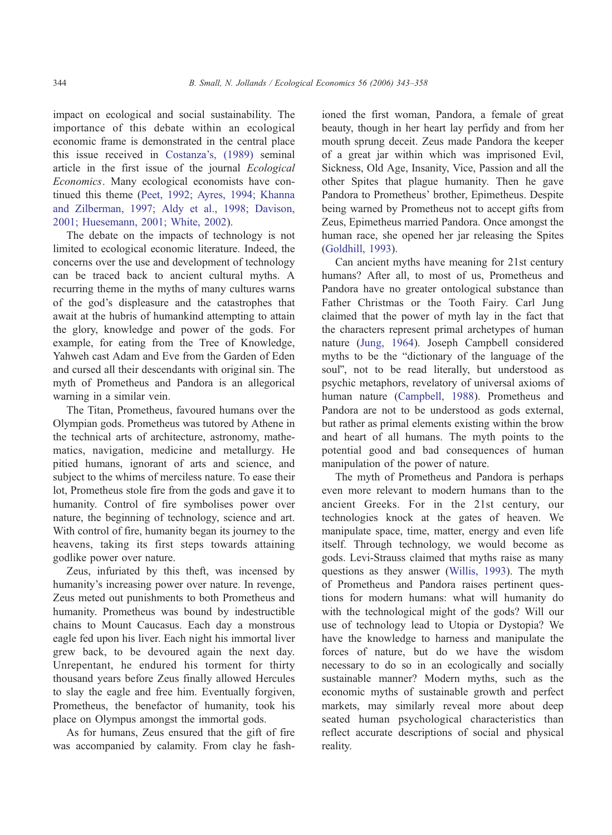impact on ecological and social sustainability. The importance of this debate within an ecological economic frame is demonstrated in the central place this issue received in [Costanza's, \(1989\)](#page--1-0) seminal article in the first issue of the journal Ecological Economics. Many ecological economists have continued this theme ([Peet, 1992; Ayres, 1994; Khanna](#page--1-0) and Zilberman, 1997; Aldy et al., 1998; Davison, 2001; Huesemann, 2001; White, 2002).

The debate on the impacts of technology is not limited to ecological economic literature. Indeed, the concerns over the use and development of technology can be traced back to ancient cultural myths. A recurring theme in the myths of many cultures warns of the god's displeasure and the catastrophes that await at the hubris of humankind attempting to attain the glory, knowledge and power of the gods. For example, for eating from the Tree of Knowledge, Yahweh cast Adam and Eve from the Garden of Eden and cursed all their descendants with original sin. The myth of Prometheus and Pandora is an allegorical warning in a similar vein.

The Titan, Prometheus, favoured humans over the Olympian gods. Prometheus was tutored by Athene in the technical arts of architecture, astronomy, mathematics, navigation, medicine and metallurgy. He pitied humans, ignorant of arts and science, and subject to the whims of merciless nature. To ease their lot, Prometheus stole fire from the gods and gave it to humanity. Control of fire symbolises power over nature, the beginning of technology, science and art. With control of fire, humanity began its journey to the heavens, taking its first steps towards attaining godlike power over nature.

Zeus, infuriated by this theft, was incensed by humanity's increasing power over nature. In revenge, Zeus meted out punishments to both Prometheus and humanity. Prometheus was bound by indestructible chains to Mount Caucasus. Each day a monstrous eagle fed upon his liver. Each night his immortal liver grew back, to be devoured again the next day. Unrepentant, he endured his torment for thirty thousand years before Zeus finally allowed Hercules to slay the eagle and free him. Eventually forgiven, Prometheus, the benefactor of humanity, took his place on Olympus amongst the immortal gods.

As for humans, Zeus ensured that the gift of fire was accompanied by calamity. From clay he fashioned the first woman, Pandora, a female of great beauty, though in her heart lay perfidy and from her mouth sprung deceit. Zeus made Pandora the keeper of a great jar within which was imprisoned Evil, Sickness, Old Age, Insanity, Vice, Passion and all the other Spites that plague humanity. Then he gave Pandora to Prometheus' brother, Epimetheus. Despite being warned by Prometheus not to accept gifts from Zeus, Epimetheus married Pandora. Once amongst the human race, she opened her jar releasing the Spites ([Goldhill, 1993\)](#page--1-0).

Can ancient myths have meaning for 21st century humans? After all, to most of us, Prometheus and Pandora have no greater ontological substance than Father Christmas or the Tooth Fairy. Carl Jung claimed that the power of myth lay in the fact that the characters represent primal archetypes of human nature ([Jung, 1964\)](#page--1-0). Joseph Campbell considered myths to be the "dictionary of the language of the soul", not to be read literally, but understood as psychic metaphors, revelatory of universal axioms of human nature ([Campbell, 1988\)](#page--1-0). Prometheus and Pandora are not to be understood as gods external, but rather as primal elements existing within the brow and heart of all humans. The myth points to the potential good and bad consequences of human manipulation of the power of nature.

The myth of Prometheus and Pandora is perhaps even more relevant to modern humans than to the ancient Greeks. For in the 21st century, our technologies knock at the gates of heaven. We manipulate space, time, matter, energy and even life itself. Through technology, we would become as gods. Levi-Strauss claimed that myths raise as many questions as they answer ([Willis, 1993\)](#page--1-0). The myth of Prometheus and Pandora raises pertinent questions for modern humans: what will humanity do with the technological might of the gods? Will our use of technology lead to Utopia or Dystopia? We have the knowledge to harness and manipulate the forces of nature, but do we have the wisdom necessary to do so in an ecologically and socially sustainable manner? Modern myths, such as the economic myths of sustainable growth and perfect markets, may similarly reveal more about deep seated human psychological characteristics than reflect accurate descriptions of social and physical reality.